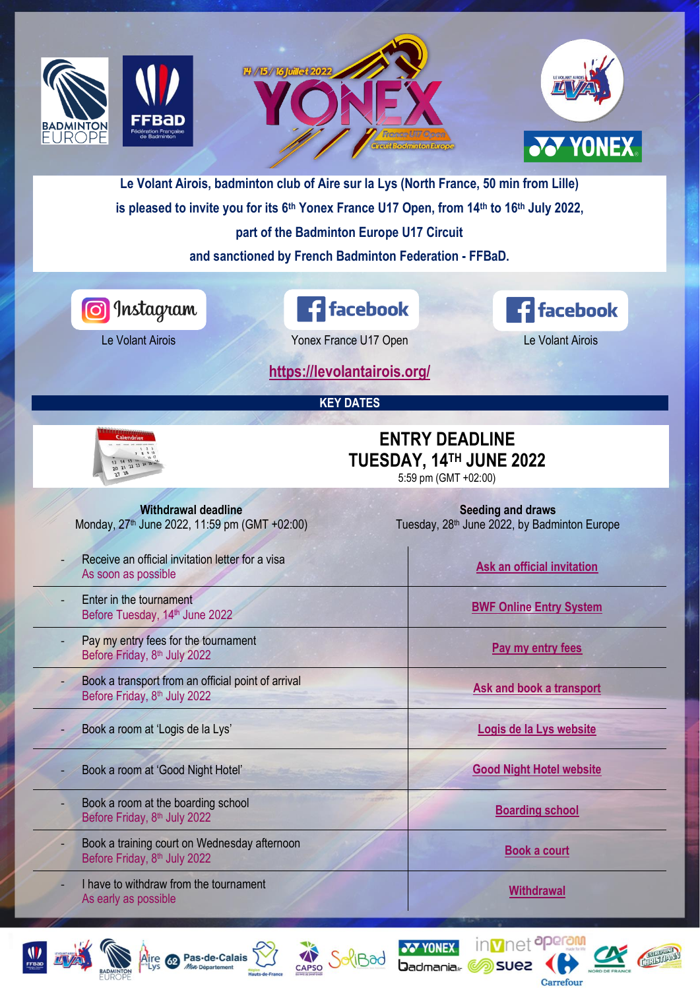

- Book a training court on Wednesday afternoon Book a training court on weariestay artemported the court of the state of the [Book a court](https://levolantairois.org/yonex-france-u17-open-practice-court/)<br>Before Friday, 8<sup>th</sup> July 2022
- I have to withdraw from the tournament As early as possible **[Withdrawal](mailto:levolant.airois@orange.fr?subject=Yonex%20France%20U17%20Open%20-%20Withdrawal)**<br>As early as possible











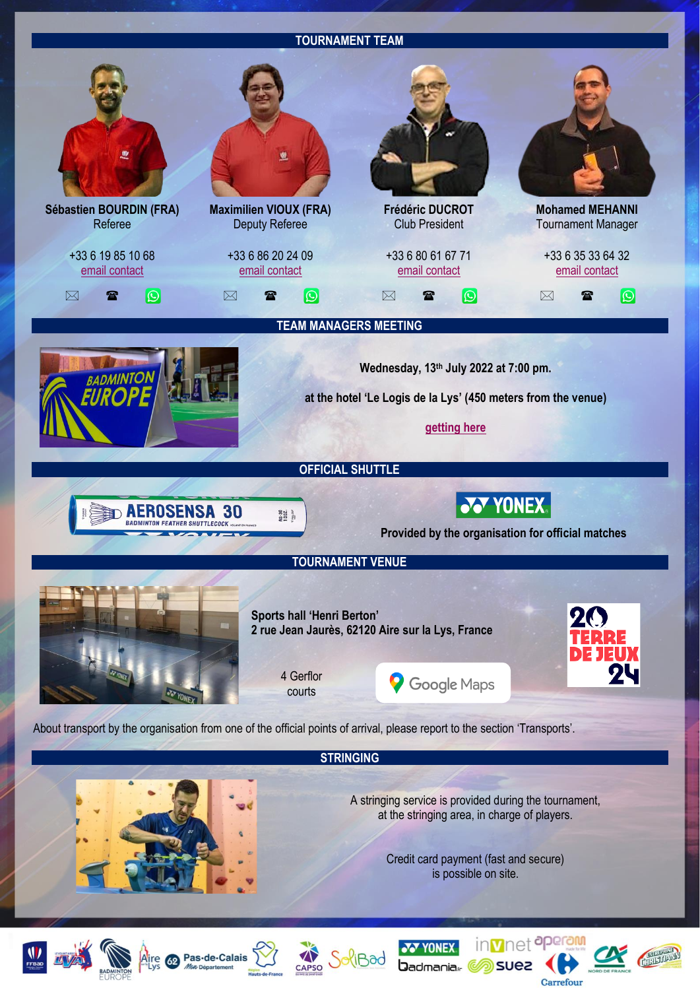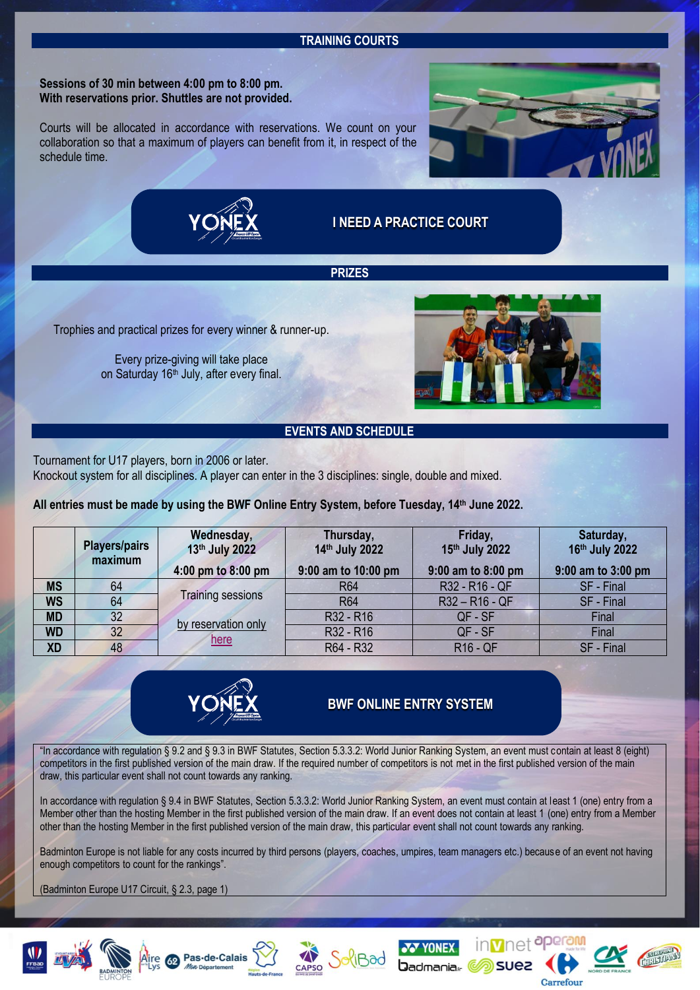#### **TRAINING COURTS**

**Sessions of 30 min between 4:00 pm to 8:00 pm. With reservations prior. Shuttles are not provided.**

Courts will be allocated in accordance with reservations. We count on your collaboration so that a maximum of players can benefit from it, in respect of the schedule time.



**[I NEED A PRACTICE COURT](https://levolantairois.org/yonex-france-u17-open-practice-court/)**

**PRIZES**

Trophies and practical prizes for every winner & runner-up.

Every prize-giving will take place on Saturday 16<sup>th</sup> July, after every final.



# **EVENTS AND SCHEDULE**

Tournament for U17 players, born in 2006 or later.

Knockout system for all disciplines. A player can enter in the 3 disciplines: single, double and mixed.

**All entries must be made by using the BWF Online Entry System, before Tuesday, 14th June 2022.**

|           | <b>Players/pairs</b><br>maximum | Wednesday,<br>13th July 2022<br>4:00 pm to 8:00 pm | Thursday,<br>14th July 2022<br>9:00 am to 10:00 pm | Friday,<br>15th July 2022<br>9:00 am to 8:00 pm | Saturday,<br>16th July 2022<br>9:00 am to 3:00 pm |
|-----------|---------------------------------|----------------------------------------------------|----------------------------------------------------|-------------------------------------------------|---------------------------------------------------|
| <b>MS</b> | 64                              |                                                    | <b>R64</b>                                         | R32 - R16 - QF                                  | SF - Final                                        |
| <b>WS</b> | 64                              | <b>Training sessions</b>                           | <b>R64</b>                                         | R32-R16-QF                                      | SF - Final                                        |
| <b>MD</b> | 32 <sub>2</sub>                 |                                                    | R32 - R16                                          | QF - SF                                         | Final                                             |
| <b>WD</b> | 32 <sup>2</sup>                 | by reservation only                                | R32 - R16                                          | QF - SF                                         | Final                                             |
| <b>XD</b> | 48                              | here                                               | R64 - R32                                          | <b>R16 - QF</b>                                 | SF - Final                                        |



# **[BWF ONLINE ENTRY SYSTEM](https://bwf.tournamentsoftware.com/tournament/556C144E-B9BC-4CFD-B9F2-7CE2E356AEC0)**

"In accordance with regulation § 9.2 and § 9.3 in BWF Statutes, Section 5.3.3.2: World Junior Ranking System, an event must contain at least 8 (eight) competitors in the first published version of the main draw. If the required number of competitors is not met in the first published version of the main draw, this particular event shall not count towards any ranking.

In accordance with regulation § 9.4 in BWF Statutes, Section 5.3.3.2: World Junior Ranking System, an event must contain at least 1 (one) entry from a Member other than the hosting Member in the first published version of the main draw. If an event does not contain at least 1 (one) entry from a Member other than the hosting Member in the first published version of the main draw, this particular event shall not count towards any ranking.

Badminton Europe is not liable for any costs incurred by third persons (players, coaches, umpires, team managers etc.) because of an event not having enough competitors to count for the rankings".

(Badminton Europe U17 Circuit, § 2.3, page 1)











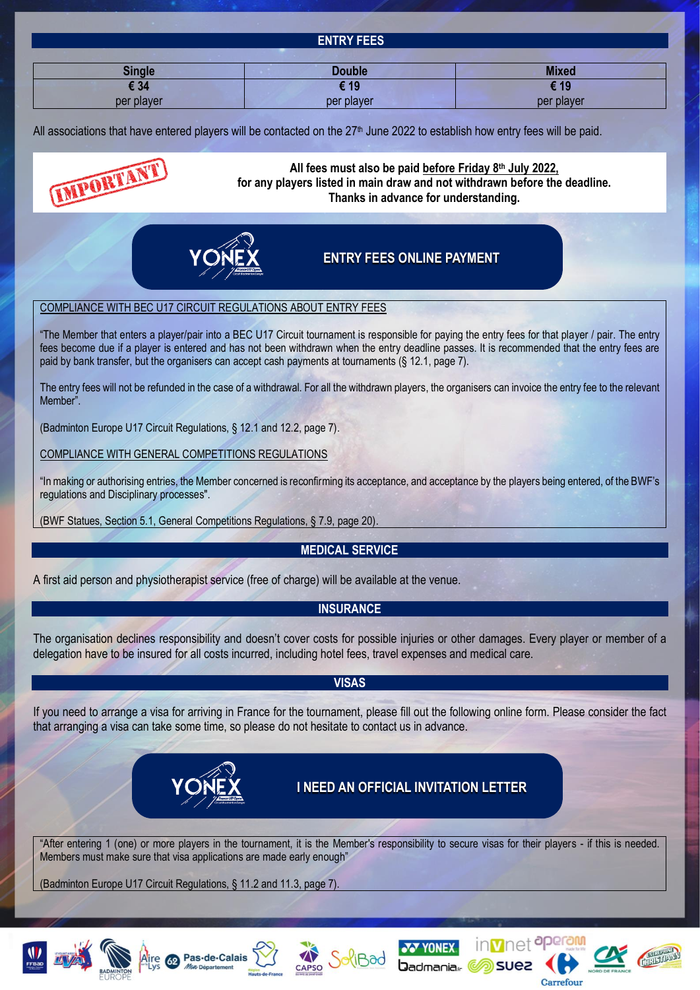| . .           | .                 |              |
|---------------|-------------------|--------------|
|               | <b>ENTRY FEES</b> |              |
|               |                   |              |
| <b>Single</b> | <b>Double</b>     | <b>Mixed</b> |
| € 34          | € 19              | € 19         |
| per player    | per player        | per player   |

All associations that have entered players will be contacted on the  $27<sup>th</sup>$  June 2022 to establish how entry fees will be paid.





# **All fees must also be paid before Friday 8th July 2022, for any players listed in main draw and not withdrawn before the deadline. Thanks in advance for understanding.**

# **[ENTRY FEES ONLINE PAYMENT](https://levolantairois.org/yonex-france-u17-open-payment-page/)**

#### COMPLIANCE WITH BEC U17 CIRCUIT REGULATIONS ABOUT ENTRY FEES

"The Member that enters a player/pair into a BEC U17 Circuit tournament is responsible for paying the entry fees for that player / pair. The entry fees become due if a player is entered and has not been withdrawn when the entry deadline passes. It is recommended that the entry fees are paid by bank transfer, but the organisers can accept cash payments at tournaments (§ 12.1, page 7).

The entry fees will not be refunded in the case of a withdrawal. For all the withdrawn players, the organisers can invoice the entry fee to the relevant Member".

(Badminton Europe U17 Circuit Regulations, § 12.1 and 12.2, page 7).

COMPLIANCE WITH GENERAL COMPETITIONS REGULATIONS

"In making or authorising entries, the Member concerned is reconfirming its acceptance, and acceptance by the players being entered, of the BWF's regulations and Disciplinary processes".

(BWF Statues, Section 5.1, General Competitions Regulations, § 7.9, page 20).

# **MEDICAL SERVICE**

A first aid person and physiotherapist service (free of charge) will be available at the venue.

# **INSURANCE**

The organisation declines responsibility and doesn't cover costs for possible injuries or other damages. Every player or member of a delegation have to be insured for all costs incurred, including hotel fees, travel expenses and medical care.

#### **VISAS**

If you need to arrange a visa for arriving in France for the tournament, please fill out the following online form. Please consider the fact that arranging a visa can take some time, so please do not hesitate to contact us in advance.



**[I NEED AN OFFICIAL INVITATION LETTER](https://levolantairois.org/yonex-france-u17-visas/)**

"After entering 1 (one) or more players in the tournament, it is the Member's responsibility to secure visas for their players - if this is needed. Members must make sure that visa applications are made early enough"

(Badminton Europe U17 Circuit Regulations, § 11.2 and 11.3, page 7).











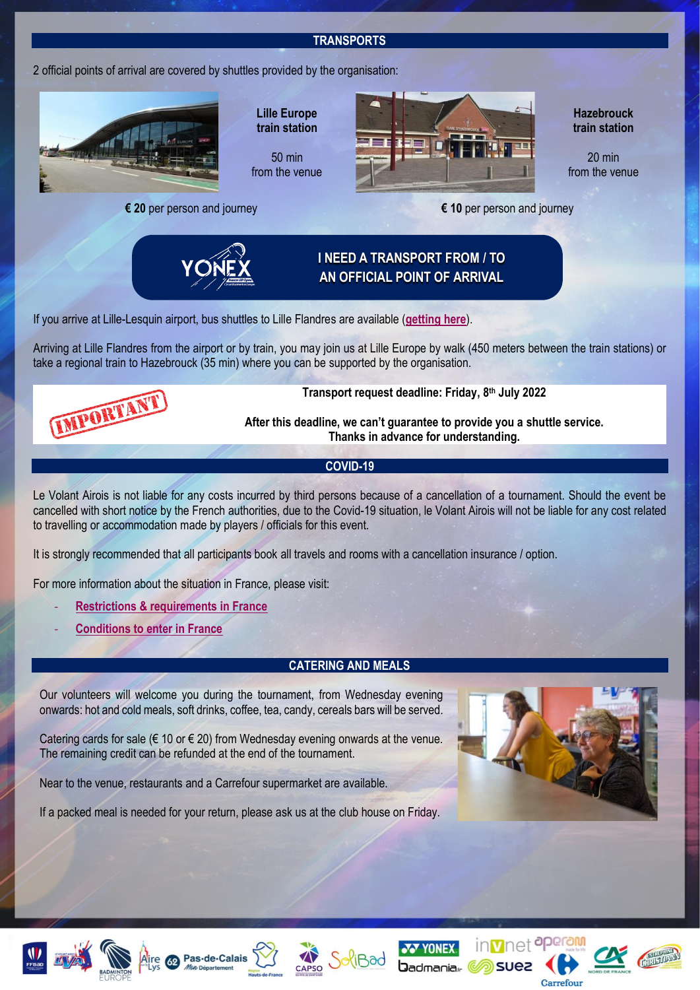# **TRANSPORTS**

2 official points of arrival are covered by shuttles provided by the organisation:



**Lille Europe train station**

50 min from the venue

**€ 20** per person and journey **€ 10** per person and journey



**Hazebrouck train station**

20 min from the venue



If you arrive at Lille-Lesquin airport, bus shuttles to Lille Flandres are available (**[getting here](https://www.lille.aeroport.fr/getting-to-the-airport/shuttle/)**).

Arriving at Lille Flandres from the airport or by train, you may join us at Lille Europe by walk (450 meters between the train stations) or take a regional train to Hazebrouck (35 min) where you can be supported by the organisation.



**Transport request deadline: Friday, 8th July 2022**

**After this deadline, we can't guarantee to provide you a shuttle service. Thanks in advance for understanding.**

# **COVID-19**

Le Volant Airois is not liable for any costs incurred by third persons because of a cancellation of a tournament. Should the event be cancelled with short notice by the French authorities, due to the Covid-19 situation, le Volant Airois will not be liable for any cost related to travelling or accommodation made by players / officials for this event.

It is strongly recommended that all participants book all travels and rooms with a cancellation insurance / option.

For more information about the situation in France, please visit:

- **[Restrictions & requirements in France](https://www.diplomatie.gouv.fr/en/coming-to-france/coming-to-france-your-covid-19-questions-answered/)**
- **[Conditions to enter in France](https://www.interieur.gouv.fr/covid-19-international-travel)**

# **CATERING AND MEALS**

Our volunteers will welcome you during the tournament, from Wednesday evening onwards: hot and cold meals, soft drinks, coffee, tea, candy, cereals bars will be served.

Catering cards for sale ( $\epsilon$  10 or  $\epsilon$  20) from Wednesday evening onwards at the venue. The remaining credit can be refunded at the end of the tournament.

Near to the venue, restaurants and a Carrefour supermarket are available.

If a packed meal is needed for your return, please ask us at the club house on Friday.













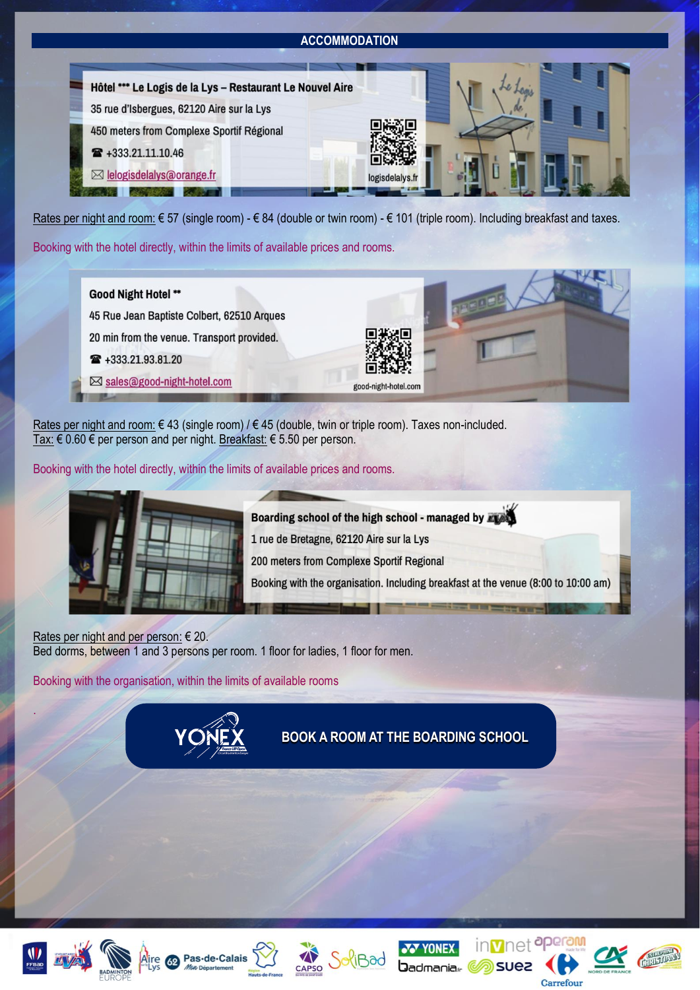# **ACCOMMODATION**



Rates per night and room: € 57 (single room) - € 84 (double or twin room) - € 101 (triple room). Including breakfast and taxes.

Booking with the hotel directly, within the limits of available prices and rooms.



Rates per night and room: € 43 (single room) / € 45 (double, twin or triple room). Taxes non-included. Tax: € 0.60 € per person and per night. Breakfast: € 5.50 per person.

Booking with the hotel directly, within the limits of available prices and rooms.



Boarding school of the high school - managed by Fight 1 rue de Bretagne, 62120 Aire sur la Lys 200 meters from Complexe Sportif Regional

Booking with the organisation. Including breakfast at the venue (8:00 to 10:00 am)

Rates per night and per person: € 20. Bed dorms, between 1 and 3 persons per room. 1 floor for ladies, 1 floor for men.

Booking with the organisation, within the limits of available rooms



**[BOOK A ROOM AT THE BOARDING SCHOOL](https://levolantairois.org/yonex-france-u17-open-accommodation/)**

suez



.